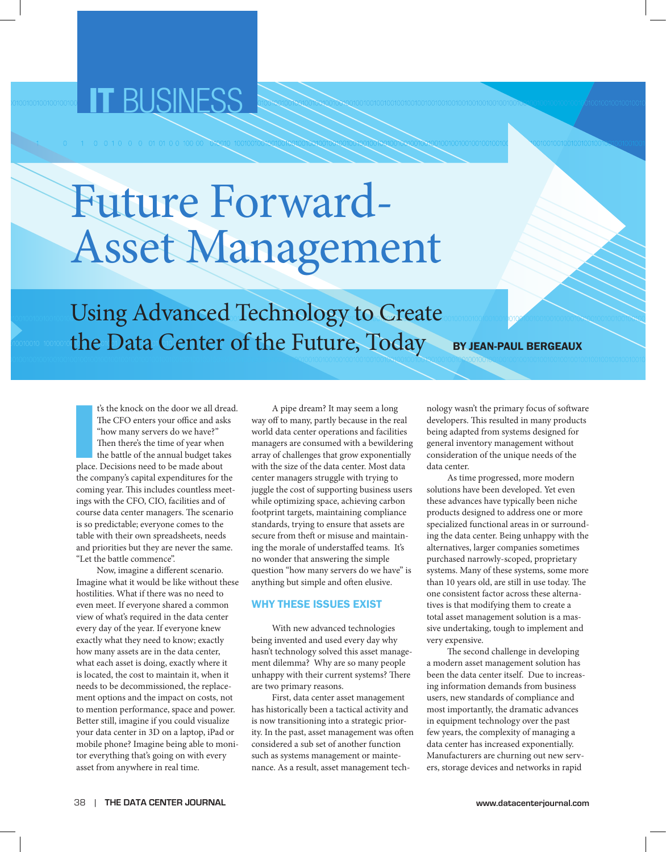## IT BUSINESS

# Future Forward-Asset Management

Using Advanced Technology to Create the Data Center of the Future, Today BY JEAN-PAUL BERGEAUX

I's the knock on the door we all drequive the CFO enters your office and as "how many servers do we have?"<br>Then there's the time of year when the battle of the annual budget take<br>place. Decisions need to be made about t's the knock on the door we all dread. The CFO enters your office and asks "how many servers do we have?" Then there's the time of year when the battle of the annual budget takes the company's capital expenditures for the coming year. This includes countless meetings with the CFO, CIO, facilities and of course data center managers. The scenario is so predictable; everyone comes to the table with their own spreadsheets, needs and priorities but they are never the same. "Let the battle commence".

Now, imagine a different scenario. Imagine what it would be like without these hostilities. What if there was no need to even meet. If everyone shared a common view of what's required in the data center every day of the year. If everyone knew exactly what they need to know; exactly how many assets are in the data center, what each asset is doing, exactly where it is located, the cost to maintain it, when it needs to be decommissioned, the replacement options and the impact on costs, not to mention performance, space and power. Better still, imagine if you could visualize your data center in 3D on a laptop, iPad or mobile phone? Imagine being able to monitor everything that's going on with every asset from anywhere in real time.

A pipe dream? It may seem a long way off to many, partly because in the real world data center operations and facilities managers are consumed with a bewildering array of challenges that grow exponentially with the size of the data center. Most data center managers struggle with trying to juggle the cost of supporting business users while optimizing space, achieving carbon footprint targets, maintaining compliance standards, trying to ensure that assets are secure from theft or misuse and maintaining the morale of understaffed teams. It's no wonder that answering the simple question "how many servers do we have" is anything but simple and often elusive.

#### Why These Issues Exist

With new advanced technologies being invented and used every day why hasn't technology solved this asset management dilemma? Why are so many people unhappy with their current systems? There are two primary reasons.

First, data center asset management has historically been a tactical activity and is now transitioning into a strategic priority. In the past, asset management was often considered a sub set of another function such as systems management or maintenance. As a result, asset management technology wasn't the primary focus of software developers. This resulted in many products being adapted from systems designed for general inventory management without consideration of the unique needs of the data center.

As time progressed, more modern solutions have been developed. Yet even these advances have typically been niche products designed to address one or more specialized functional areas in or surrounding the data center. Being unhappy with the alternatives, larger companies sometimes purchased narrowly-scoped, proprietary systems. Many of these systems, some more than 10 years old, are still in use today. The one consistent factor across these alternatives is that modifying them to create a total asset management solution is a massive undertaking, tough to implement and very expensive.

The second challenge in developing a modern asset management solution has been the data center itself. Due to increasing information demands from business users, new standards of compliance and most importantly, the dramatic advances in equipment technology over the past few years, the complexity of managing a data center has increased exponentially. Manufacturers are churning out new servers, storage devices and networks in rapid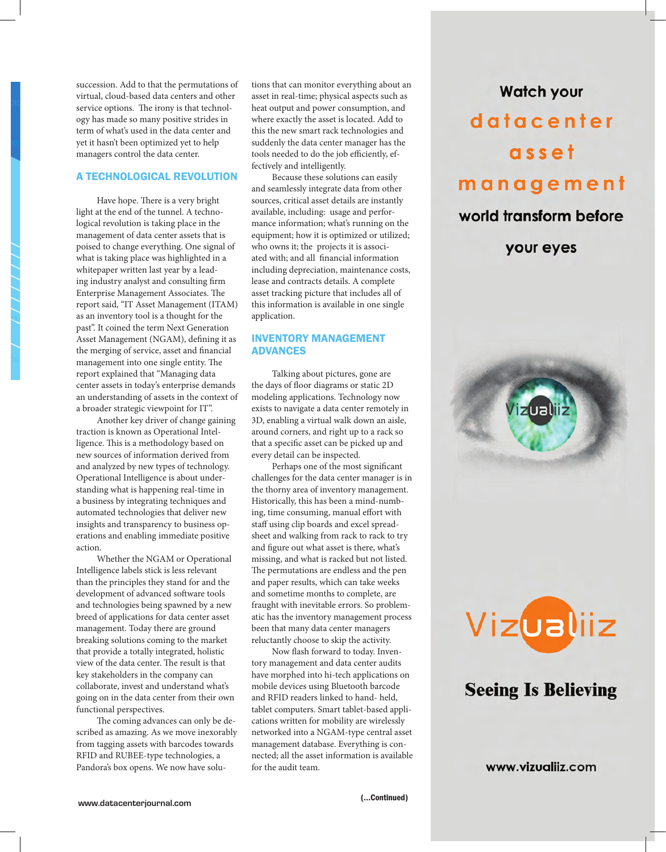succession. Add to that the permutations of virtual, cloud-based data centers and other service options. The irony is that technology has made so many positive strides in term of what's used in the data center and yet it hasn't been optimized yet to help managers control the data center.

### A Technological Revolution

Have hope. There is a very bright light at the end of the tunnel. A technological revolution is taking place in the management of data center assets that is poised to change everything. One signal of what is taking place was highlighted in a whitepaper written last year by a leading industry analyst and consulting firm Enterprise Management Associates. The report said, "IT Asset Management (ITAM) as an inventory tool is a thought for the past". It coined the term Next Generation Asset Management (NGAM), defining it as the merging of service, asset and financial management into one single entity. The report explained that "Managing data center assets in today's enterprise demands an understanding of assets in the context of a broader strategic viewpoint for IT".

Another key driver of change gaining traction is known as Operational Intelligence. This is a methodology based on new sources of information derived from and analyzed by new types of technology. Operational Intelligence is about understanding what is happening real-time in a business by integrating techniques and automated technologies that deliver new insights and transparency to business operations and enabling immediate positive action.

Whether the NGAM or Operational Intelligence labels stick is less relevant than the principles they stand for and the development of advanced software tools and technologies being spawned by a new breed of applications for data center asset management. Today there are ground breaking solutions coming to the market that provide a totally integrated, holistic view of the data center. The result is that key stakeholders in the company can collaborate, invest and understand what's going on in the data center from their own functional perspectives.

The coming advances can only be described as amazing. As we move inexorably from tagging assets with barcodes towards RFID and RUBEE-type technologies, a Pandora's box opens. We now have solutions that can monitor everything about an asset in real-time; physical aspects such as heat output and power consumption, and where exactly the asset is located. Add to this the new smart rack technologies and suddenly the data center manager has the tools needed to do the job efficiently, effectively and intelligently.

Because these solutions can easily and seamlessly integrate data from other sources, critical asset details are instantly available, including: usage and performance information; what's running on the equipment; how it is optimized or utilized; who owns it; the projects it is associated with; and all financial information including depreciation, maintenance costs, lease and contracts details. A complete asset tracking picture that includes all of this information is available in one single application.

### Inventory Management **ADVANCES**

Talking about pictures, gone are the days of floor diagrams or static 2D modeling applications. Technology now exists to navigate a data center remotely in 3D, enabling a virtual walk down an aisle, around corners, and right up to a rack so that a specific asset can be picked up and every detail can be inspected.

Perhaps one of the most significant challenges for the data center manager is in the thorny area of inventory management. Historically, this has been a mind-numbing, time consuming, manual effort with staff using clip boards and excel spreadsheet and walking from rack to rack to try and figure out what asset is there, what's missing, and what is racked but not listed. The permutations are endless and the pen and paper results, which can take weeks and sometime months to complete, are fraught with inevitable errors. So problematic has the inventory management process been that many data center managers reluctantly choose to skip the activity.

Now flash forward to today. Inventory management and data center audits have morphed into hi-tech applications on mobile devices using Bluetooth barcode and RFID readers linked to hand- held, tablet computers. Smart tablet-based applications written for mobility are wirelessly networked into a NGAM-type central asset management database. Everything is connected; all the asset information is available for the audit team.

## **Watch your** datacenter asset management

## world transform before

your eyes





## **Seeing Is Believing**

www.vizualiiz.com